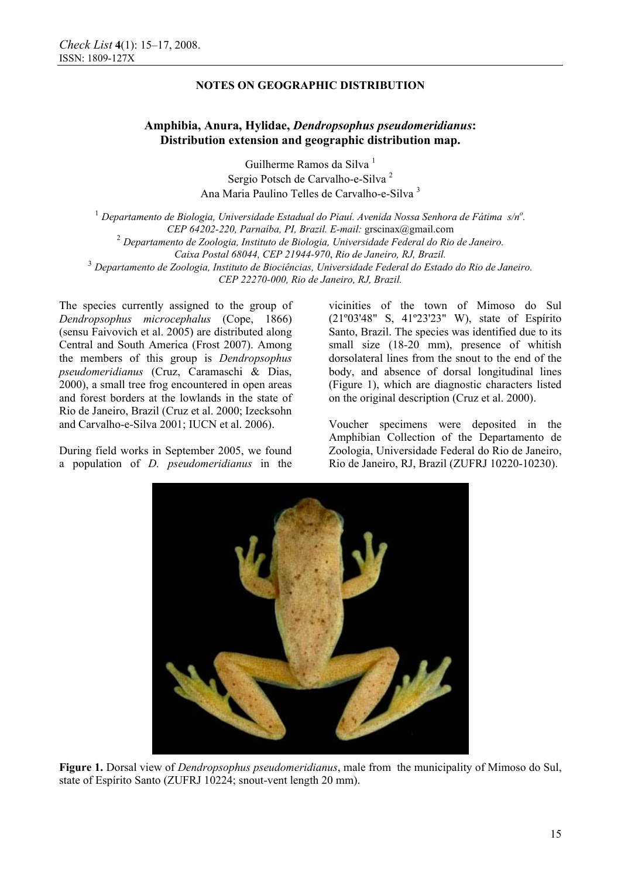# **NOTES ON GEOGRAPHIC DISTRIBUTION**

# **Amphibia, Anura, Hylidae,** *Dendropsophus pseudomeridianus***: Distribution extension and geographic distribution map.**

Guilherme Ramos da Silva $<sup>1</sup>$ </sup> Sergio Potsch de Carvalho-e-Silva <sup>2</sup> Ana Maria Paulino Telles de Carvalho-e-Silva <sup>3</sup>

<sup>1</sup> Departamento de Biologia, Universidade Estadual do Piauí. Avenida Nossa Senhora de Fátima s/n<sup>o</sup>. *CEP 64202-220, Parnaíba, PI, Brazil. E-mail:* grscinax@gmail.com <sup>2</sup> *Departamento de Zoologia, Instituto de Biologia, Universidade Federal do Rio de Janeiro. Caixa Postal 68044, CEP 21944-970*, *Rio de Janeiro, RJ, Brazil.* <sup>3</sup> *Departamento de Zoologia, Instituto de Biociências, Universidade Federal do Estado do Rio de Janeiro. CEP 22270-000, Rio de Janeiro, RJ, Brazil.* 

The species currently assigned to the group of *Dendropsophus microcephalus* (Cope, 1866) (sensu Faivovich et al. 2005) are distributed along Central and South America (Frost 2007). Among the members of this group is *Dendropsophus pseudomeridianus* (Cruz, Caramaschi & Dias, 2000), a small tree frog encountered in open areas and forest borders at the lowlands in the state of Rio de Janeiro, Brazil (Cruz et al. 2000; Izecksohn and Carvalho-e-Silva 2001; IUCN et al. 2006).

During field works in September 2005, we found a population of *D. pseudomeridianus* in the vicinities of the town of Mimoso do Sul (21º03'48" S, 41º23'23" W), state of Espírito Santo, Brazil. The species was identified due to its small size (18-20 mm), presence of whitish dorsolateral lines from the snout to the end of the body, and absence of dorsal longitudinal lines (Figure 1), which are diagnostic characters listed on the original description (Cruz et al. 2000).

Voucher specimens were deposited in the Amphibian Collection of the Departamento de Zoologia, Universidade Federal do Rio de Janeiro, Rio de Janeiro, RJ, Brazil (ZUFRJ 10220-10230).



**Figure 1.** Dorsal view of *Dendropsophus pseudomeridianus*, male from the municipality of Mimoso do Sul, state of Espírito Santo (ZUFRJ 10224; snout-vent length 20 mm).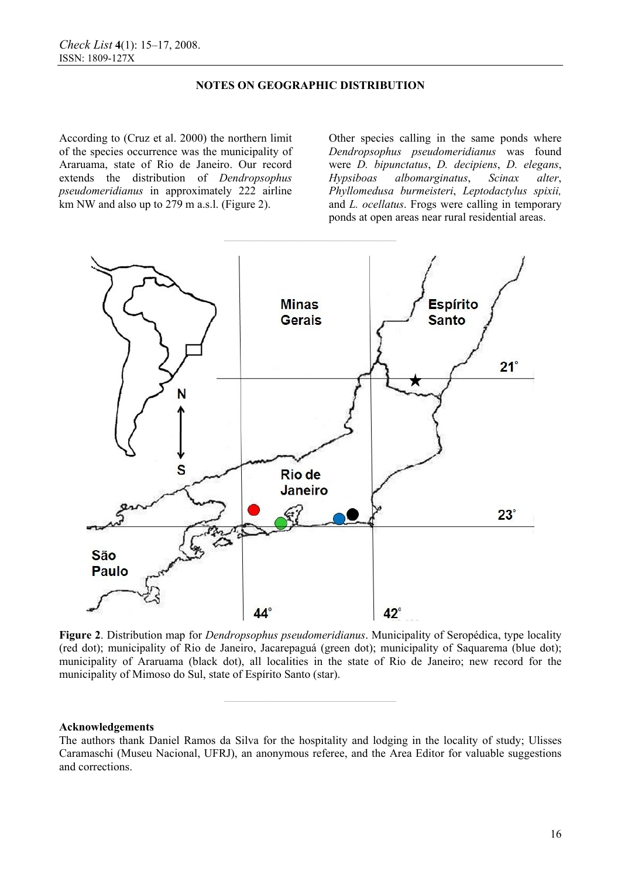## **NOTES ON GEOGRAPHIC DISTRIBUTION**

According to (Cruz et al. 2000) the northern limit of the species occurrence was the municipality of Araruama, state of Rio de Janeiro. Our record extends the distribution of *Dendropsophus pseudomeridianus* in approximately 222 airline km NW and also up to 279 m a.s.l. (Figure 2).

Other species calling in the same ponds where *Dendropsophus pseudomeridianus* was found were *D. bipunctatus*, *D. decipiens*, *D. elegans*, *Hypsiboas albomarginatus*, *Scinax alter*, *Phyllomedusa burmeisteri*, *Leptodactylus spixii,*  and *L. ocellatus*. Frogs were calling in temporary ponds at open areas near rural residential areas.



**Figure 2**. Distribution map for *Dendropsophus pseudomeridianus*. Municipality of Seropédica, type locality (red dot); municipality of Rio de Janeiro, Jacarepaguá (green dot); municipality of Saquarema (blue dot); municipality of Araruama (black dot), all localities in the state of Rio de Janeiro; new record for the municipality of Mimoso do Sul, state of Espírito Santo (star).

———————————————

#### **Acknowledgements**

The authors thank Daniel Ramos da Silva for the hospitality and lodging in the locality of study; Ulisses Caramaschi (Museu Nacional, UFRJ), an anonymous referee, and the Area Editor for valuable suggestions and corrections.